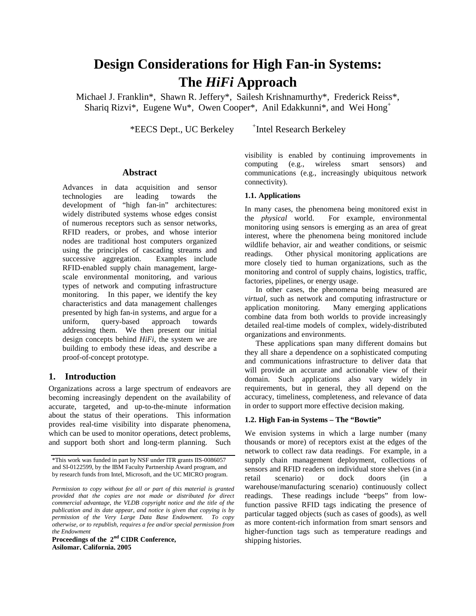# **Design Considerations for High Fan-in Systems: The** *HiFi* **Approach**

Michael J. Franklin\*, Shawn R. Jeffery\*, Sailesh Krishnamurthy\*, Frederick Reiss\*, Shariq Rizvi\*, Eugene Wu\*, Owen Cooper\*, Anil Edakkunni\*, and Wei Hong<sup>+</sup>

\*EECS Dept., UC Berkeley

+ Intel Research Berkeley

# **Abstract**

Advances in data acquisition and sensor technologies are leading towards the development of "high fan-in" architectures: widely distributed systems whose edges consist of numerous receptors such as sensor networks, RFID readers, or probes, and whose interior nodes are traditional host computers organized using the principles of cascading streams and successive aggregation. Examples include RFID-enabled supply chain management, largescale environmental monitoring, and various types of network and computing infrastructure monitoring. In this paper, we identify the key characteristics and data management challenges presented by high fan-in systems, and argue for a uniform, query-based approach towards addressing them. We then present our initial design concepts behind *HiFi*, the system we are building to embody these ideas, and describe a proof-of-concept prototype.

# **1. Introduction**

Organizations across a large spectrum of endeavors are becoming increasingly dependent on the availability of accurate, targeted, and up-to-the-minute information about the status of their operations. This information provides real-time visibility into disparate phenomena, which can be used to monitor operations, detect problems, and support both short and long-term planning. Such

**Proceedings of the 2 nd CIDR Conference, Asilomar, California, 2005**

visibility is enabled by continuing improvements in computing (e.g., wireless smart sensors) and communications (e.g., increasingly ubiquitous network connectivity).

#### **1.1. Applications**

In many cases, the phenomena being monitored exist in the *physical* world. For example, environmental monitoring using sensors is emerging as an area of great interest, where the phenomena being monitored include wildlife behavior, air and weather conditions, or seismic readings. Other physical monitoring applications are more closely tied to human organizations, such as the monitoring and control of supply chains, logistics, traffic, factories, pipelines, or energy usage.

In other cases, the phenomena being measured are *virtual*, such as network and computing infrastructure or application monitoring. Many emerging applications combine data from both worlds to provide increasingly detailed real-time models of complex, widely-distributed organizations and environments.

These applications span many different domains but they all share a dependence on a sophisticated computing and communications infrastructure to deliver data that will provide an accurate and actionable view of their domain. Such applications also vary widely in requirements, but in general, they all depend on the accuracy, timeliness, completeness, and relevance of data in order to support more effective decision making.

## **1.2. High Fan-in Systems – The "Bowtie"**

We envision systems in which a large number (many thousands or more) of receptors exist at the edges of the network to collect raw data readings. For example, in a supply chain management deployment, collections of sensors and RFID readers on individual store shelves (in a retail scenario) or dock doors (in warehouse/manufacturing scenario) continuously collect readings. These readings include "beeps" from lowfunction passive RFID tags indicating the presence of particular tagged objects (such as cases of goods), as well as more content-rich information from smart sensors and higher-function tags such as temperature readings and shipping histories.

<sup>\*</sup>This work was funded in part by NSF under ITR grants IIS-0086057 and SI-0122599, by the IBM Faculty Partnership Award program, and by research funds from Intel, Microsoft, and the UC MICRO program.

*Permission to copy without fee all or part of this material is granted provided that the copies are not made or distributed for direct commercial advantage, the VLDB copyright notice and the title of the publication and its date appear, and notice is given that copying is by permission of the Very Large Data Base Endowment. To copy otherwise, or to republish, requires a fee and/or special permission from the Endowment*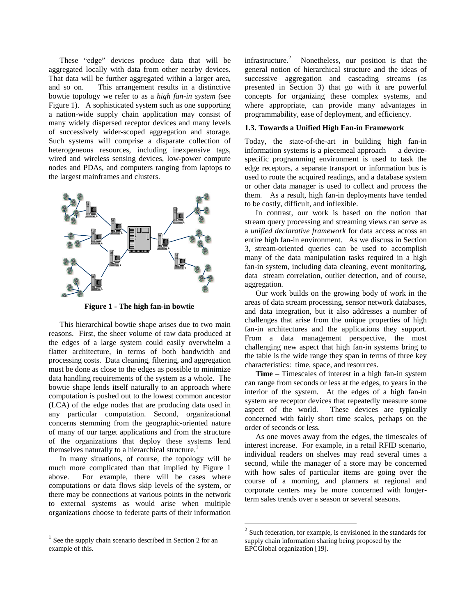These "edge" devices produce data that will be aggregated locally with data from other nearby devices. That data will be further aggregated within a larger area, and so on. This arrangement results in a distinctive bowtie topology we refer to as a *high fan-in system* (see Figure 1). A sophisticated system such as one supporting a nation-wide supply chain application may consist of many widely dispersed receptor devices and many levels of successively wider-scoped aggregation and storage. Such systems will comprise a disparate collection of heterogeneous resources, including inexpensive tags, wired and wireless sensing devices, low-power compute nodes and PDAs, and computers ranging from laptops to the largest mainframes and clusters.



**Figure 1 - The high fan-in bowtie**

This hierarchical bowtie shape arises due to two main reasons. First, the sheer volume of raw data produced at the edges of a large system could easily overwhelm a flatter architecture, in terms of both bandwidth and processing costs. Data cleaning, filtering, and aggregation must be done as close to the edges as possible to minimize data handling requirements of the system as a whole. The bowtie shape lends itself naturally to an approach where computation is pushed out to the lowest common ancestor (LCA) of the edge nodes that are producing data used in any particular computation. Second, organizational concerns stemming from the geographic-oriented nature of many of our target applications and from the structure of the organizations that deploy these systems lend themselves naturally to a hierarchical structure.<sup>1</sup>

In many situations, of course, the topology will be much more complicated than that implied by Figure 1 above. For example, there will be cases where computations or data flows skip levels of the system, or there may be connections at various points in the network to external systems as would arise when multiple organizations choose to federate parts of their information

infrastructure. <sup>2</sup> Nonetheless, our position is that the general notion of hierarchical structure and the ideas of successive aggregation and cascading streams (as presented in Section 3) that go with it are powerful concepts for organizing these complex systems, and where appropriate, can provide many advantages in programmability, ease of deployment, and efficiency.

# **1.3. Towards a Unified High Fan-in Framework**

Today, the state-of-the-art in building high fan-in information systems is a piecemeal approach — a devicespecific programming environment is used to task the edge receptors, a separate transport or information bus is used to route the acquired readings, and a database system or other data manager is used to collect and process the them. As a result, high fan-in deployments have tended to be costly, difficult, and inflexible.

In contrast, our work is based on the notion that stream query processing and streaming views can serve as a *unified declarative framework* for data access across an entire high fan-in environment. As we discuss in Section 3, stream-oriented queries can be used to accomplish many of the data manipulation tasks required in a high fan-in system, including data cleaning, event monitoring, data stream correlation, outlier detection, and of course, aggregation.

Our work builds on the growing body of work in the areas of data stream processing, sensor network databases, and data integration, but it also addresses a number of challenges that arise from the unique properties of high fan-in architectures and the applications they support. From a data management perspective, the most challenging new aspect that high fan-in systems bring to the table is the wide range they span in terms of three key characteristics: time, space, and resources.

**Time** – Timescales of interest in a high fan-in system can range from seconds or less at the edges, to years in the interior of the system. At the edges of a high fan-in system are receptor devices that repeatedly measure some aspect of the world. These devices are typically concerned with fairly short time scales, perhaps on the order of seconds or less.

As one moves away from the edges, the timescales of interest increase. For example, in a retail RFID scenario, individual readers on shelves may read several times a second, while the manager of a store may be concerned with how sales of particular items are going over the course of a morning, and planners at regional and corporate centers may be more concerned with longerterm sales trends over a season or several seasons.

<sup>1</sup> See the supply chain scenario described in Section 2 for an example of this.

 $2^{2}$  Such federation, for example, is envisioned in the standards for supply chain information sharing being proposed by the EPCGlobal organization [19].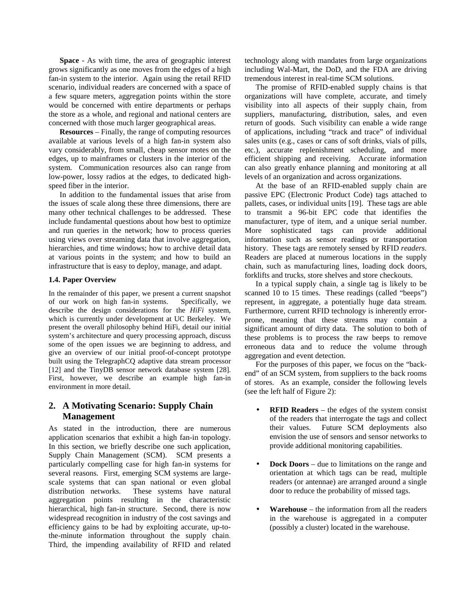**Space** - As with time, the area of geographic interest grows significantly as one moves from the edges of a high fan-in system to the interior. Again using the retail RFID scenario, individual readers are concerned with a space of a few square meters, aggregation points within the store would be concerned with entire departments or perhaps the store as a whole, and regional and national centers are concerned with those much larger geographical areas.

**Resources** – Finally, the range of computing resources available at various levels of a high fan-in system also vary considerably, from small, cheap sensor motes on the edges, up to mainframes or clusters in the interior of the system. Communication resources also can range from low-power, lossy radios at the edges, to dedicated highspeed fiber in the interior.

In addition to the fundamental issues that arise from the issues of scale along these three dimensions, there are many other technical challenges to be addressed. These include fundamental questions about how best to optimize and run queries in the network; how to process queries using views over streaming data that involve aggregation, hierarchies, and time windows; how to archive detail data at various points in the system; and how to build an infrastructure that is easy to deploy, manage, and adapt.

#### **1.4. Paper Overview**

In the remainder of this paper, we present a current snapshot of our work on high fan-in systems. Specifically, we describe the design considerations for the *HiFi* system, which is currently under development at UC Berkeley. We present the overall philosophy behind HiFi, detail our initial system's architecture and query processing approach, discuss some of the open issues we are beginning to address, and give an overview of our initial proof-of-concept prototype built using the TelegraphCQ adaptive data stream processor [12] and the TinyDB sensor network database system [28]. First, however, we describe an example high fan-in environment in more detail.

# **2. A Motivating Scenario: Supply Chain Management**

As stated in the introduction, there are numerous application scenarios that exhibit a high fan-in topology. In this section, we briefly describe one such application, Supply Chain Management (SCM). SCM presents a particularly compelling case for high fan-in systems for several reasons. First, emerging SCM systems are largescale systems that can span national or even global distribution networks. These systems have natural aggregation points resulting in the characteristic hierarchical, high fan-in structure. Second, there is now widespread recognition in industry of the cost savings and efficiency gains to be had by exploiting accurate, up-tothe-minute information throughout the supply chain. Third, the impending availability of RFID and related technology along with mandates from large organizations including Wal-Mart, the DoD, and the FDA are driving tremendous interest in real-time SCM solutions.

The promise of RFID-enabled supply chains is that organizations will have complete, accurate, and timely visibility into all aspects of their supply chain, from suppliers, manufacturing, distribution, sales, and even return of goods. Such visibility can enable a wide range of applications, including "track and trace" of individual sales units (e.g., cases or cans of soft drinks, vials of pills, etc.), accurate replenishment scheduling, and more efficient shipping and receiving. Accurate information can also greatly enhance planning and monitoring at all levels of an organization and across organizations.

At the base of an RFID-enabled supply chain are passive EPC (Electronic Product Code) tags attached to pallets, cases, or individual units [19]. These tags are able to transmit a 96-bit EPC code that identifies the manufacturer, type of item, and a unique serial number. More sophisticated tags can provide additional information such as sensor readings or transportation history. These tags are remotely sensed by RFID *readers*. Readers are placed at numerous locations in the supply chain, such as manufacturing lines, loading dock doors, forklifts and trucks, store shelves and store checkouts.

In a typical supply chain, a single tag is likely to be scanned 10 to 15 times. These readings (called "beeps") represent, in aggregate, a potentially huge data stream. Furthermore, current RFID technology is inherently errorprone, meaning that these streams may contain a significant amount of dirty data. The solution to both of these problems is to process the raw beeps to remove erroneous data and to reduce the volume through aggregation and event detection.

For the purposes of this paper, we focus on the "backend" of an SCM system, from suppliers to the back rooms of stores. As an example, consider the following levels (see the left half of Figure 2):

- **RFID Readers** the edges of the system consist of the readers that interrogate the tags and collect their values. Future SCM deployments also envision the use of sensors and sensor networks to provide additional monitoring capabilities.
- **Dock Doors** due to limitations on the range and orientation at which tags can be read, multiple readers (or antennae) are arranged around a single door to reduce the probability of missed tags.
- **Warehouse** the information from all the readers in the warehouse is aggregated in a computer (possibly a cluster) located in the warehouse.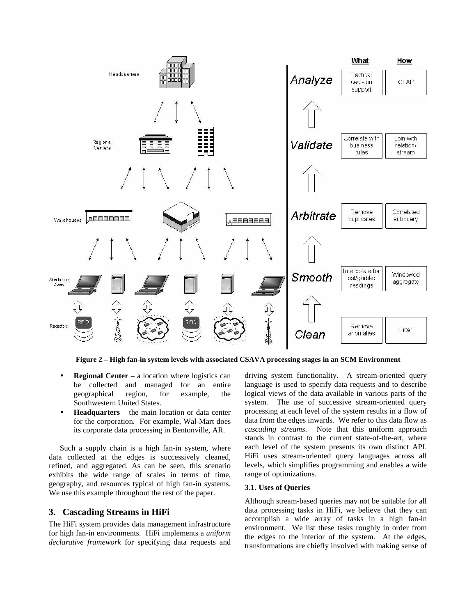

**Figure 2 – High fan-in system levels with associated CSAVA processing stages in an SCM Environment**

- **Regional Center** a location where logistics can be collected and managed for an entire geographical region, for example, the Southwestern United States.
- **Headquarters** the main location or data center for the corporation. For example, Wal-Mart does its corporate data processing in Bentonville, AR.

Such a supply chain is a high fan-in system, where data collected at the edges is successively cleaned, refined, and aggregated. As can be seen, this scenario exhibits the wide range of scales in terms of time, geography, and resources typical of high fan-in systems. We use this example throughout the rest of the paper.

# **3. Cascading Streams in HiFi**

The HiFi system provides data management infrastructure for high fan-in environments. HiFi implements a *uniform declarative framework* for specifying data requests and driving system functionality. A stream-oriented query language is used to specify data requests and to describe logical views of the data available in various parts of the system. The use of successive stream-oriented query processing at each level of the system results in a flow of data from the edges inwards. We refer to this data flow as *cascading streams*. Note that this uniform approach stands in contrast to the current state-of-the-art, where each level of the system presents its own distinct API. HiFi uses stream-oriented query languages across all levels, which simplifies programming and enables a wide range of optimizations.

## **3.1. Uses of Queries**

Although stream-based queries may not be suitable for all data processing tasks in HiFi, we believe that they can accomplish a wide array of tasks in a high fan-in environment. We list these tasks roughly in order from the edges to the interior of the system. At the edges, transformations are chiefly involved with making sense of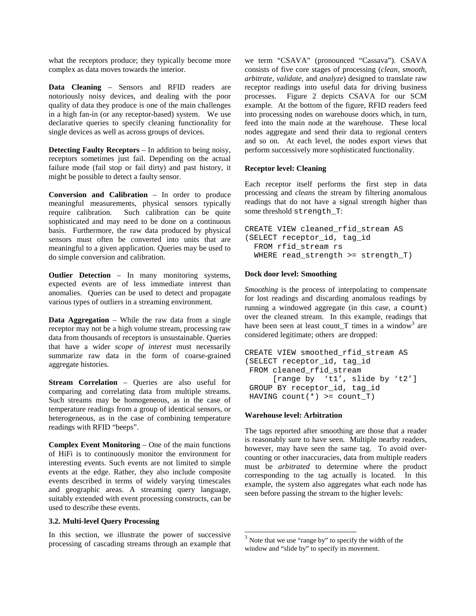what the receptors produce; they typically become more complex as data moves towards the interior.

**Data Cleaning** – Sensors and RFID readers are notoriously noisy devices, and dealing with the poor quality of data they produce is one of the main challenges in a high fan-in (or any receptor-based) system. We use declarative queries to specify cleaning functionality for single devices as well as across groups of devices.

**Detecting Faulty Receptors** – In addition to being noisy, receptors sometimes just fail. Depending on the actual failure mode (fail stop or fail dirty) and past history, it might be possible to detect a faulty sensor.

**Conversion and Calibration** – In order to produce meaningful measurements, physical sensors typically require calibration. Such calibration can be quite sophisticated and may need to be done on a continuous basis. Furthermore, the raw data produced by physical sensors must often be converted into units that are meaningful to a given application. Queries may be used to do simple conversion and calibration.

**Outlier Detection** – In many monitoring systems, expected events are of less immediate interest than anomalies. Queries can be used to detect and propagate various types of outliers in a streaming environment.

**Data Aggregation** – While the raw data from a single receptor may not be a high volume stream, processing raw data from thousands of receptors is unsustainable. Queries that have a wider *scope of interest* must necessarily summarize raw data in the form of coarse-grained aggregate histories.

**Stream Correlation** – Queries are also useful for comparing and correlating data from multiple streams. Such streams may be homogeneous, as in the case of temperature readings from a group of identical sensors, or heterogeneous, as in the case of combining temperature readings with RFID "beeps".

**Complex Event Monitoring** – One of the main functions of HiFi is to continuously monitor the environment for interesting events. Such events are not limited to simple events at the edge. Rather, they also include composite events described in terms of widely varying timescales and geographic areas. A streaming query language, suitably extended with event processing constructs, can be used to describe these events.

#### **3.2. Multi-level Query Processing**

In this section, we illustrate the power of successive processing of cascading streams through an example that we term "CSAVA" (pronounced "Cassava"). CSAVA consists of five core stages of processing (*clean, smooth, arbitrate, validate,* and *analyze*) designed to translate raw receptor readings into useful data for driving business processes. Figure 2 depicts CSAVA for our SCM example. At the bottom of the figure, RFID readers feed into processing nodes on warehouse doors which, in turn, feed into the main node at the warehouse. These local nodes aggregate and send their data to regional centers and so on. At each level, the nodes export views that perform successively more sophisticated functionality.

#### **Receptor level: Cleaning**

Each receptor itself performs the first step in data processing and *cleans* the stream by filtering anomalous readings that do not have a signal strength higher than some threshold strength\_T:

```
CREATE VIEW cleaned_rfid_stream AS
(SELECT receptor_id, tag_id
  FROM rfid_stream rs
  WHERE read_strength >= strength_T)
```
#### **Dock door level: Smoothing**

*Smoothing* is the process of interpolating to compensate for lost readings and discarding anomalous readings by running a windowed aggregate (in this case, a count) over the cleaned stream. In this example, readings that have been seen at least count  $T$  times in a window<sup>3</sup> are considered legitimate; others are dropped:

```
CREATE VIEW smoothed_rfid_stream AS
(SELECT receptor_id, tag_id
 FROM cleaned_rfid_stream
      [range by 't1', slide by 't2']
 GROUP BY receptor id, tag id
 HAVING count(*) >= count_T)
```
## **Warehouse level: Arbitration**

The tags reported after smoothing are those that a reader is reasonably sure to have seen. Multiple nearby readers, however, may have seen the same tag. To avoid overcounting or other inaccuracies, data from multiple readers must be *arbitrated* to determine where the product corresponding to the tag actually is located. In this example, the system also aggregates what each node has seen before passing the stream to the higher levels:

<sup>&</sup>lt;sup>3</sup> Note that we use "range by" to specify the width of the window and "slide by" to specify its movement.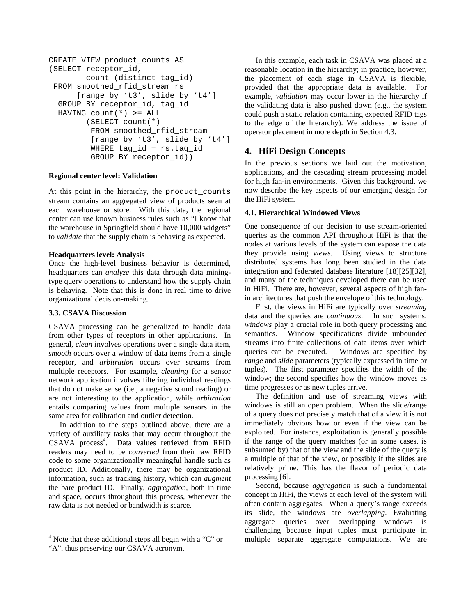```
CREATE VIEW product_counts AS
(SELECT receptor_id,
        count (distinct tag_id)
FROM smoothed_rfid_stream rs
      [range by 't3', slide by 't4']
 GROUP BY receptor id, tag id
 HAVING count(*) >= ALL
        (SELECT count(*)
         FROM smoothed_rfid_stream
         [range by 't3', slide by 't4']
         WHERE tag_id = rs.tag_id
         GROUP BY receptor_id))
```
# **Regional center level: Validation**

At this point in the hierarchy, the product\_counts stream contains an aggregated view of products seen at each warehouse or store. With this data, the regional center can use known business rules such as "I know that the warehouse in Springfield should have 10,000 widgets" to *validate* that the supply chain is behaving as expected.

# **Headquarters level: Analysis**

Once the high-level business behavior is determined, headquarters can *analyze* this data through data miningtype query operations to understand how the supply chain is behaving. Note that this is done in real time to drive organizational decision-making.

# **3.3. CSAVA Discussion**

CSAVA processing can be generalized to handle data from other types of receptors in other applications. In general, *clean* involves operations over a single data item, *smooth* occurs over a window of data items from a single receptor, and *arbitration* occurs over streams from multiple receptors. For example, *cleaning* for a sensor network application involves filtering individual readings that do not make sense (i.e., a negative sound reading) or are not interesting to the application, while *arbitration* entails comparing values from multiple sensors in the same area for calibration and outlier detection.

In addition to the steps outlined above, there are a variety of auxiliary tasks that may occur throughout the CSAVA process<sup>4</sup>. Data values retrieved from RFID readers may need to be *converted* from their raw RFID code to some organizationally meaningful handle such as product ID. Additionally, there may be organizational information, such as tracking history, which can *augment* the bare product ID. Finally, *aggregation*, both in time and space, occurs throughout this process, whenever the raw data is not needed or bandwidth is scarce.

In this example, each task in CSAVA was placed at a reasonable location in the hierarchy; in practice, however, the placement of each stage in CSAVA is flexible, provided that the appropriate data is available. For example, *validation* may occur lower in the hierarchy if the validating data is also pushed down (e.g., the system could push a static relation containing expected RFID tags to the edge of the hierarchy). We address the issue of operator placement in more depth in Section 4.3.

# **4. HiFi Design Concepts**

In the previous sections we laid out the motivation, applications, and the cascading stream processing model for high fan-in environments. Given this background, we now describe the key aspects of our emerging design for the HiFi system.

# **4.1. Hierarchical Windowed Views**

One consequence of our decision to use stream-oriented queries as the common API throughout HiFi is that the nodes at various levels of the system can expose the data they provide using *views*. Using views to structure distributed systems has long been studied in the data integration and federated database literature [18][25][32], and many of the techniques developed there can be used in HiFi. There are, however, several aspects of high fanin architectures that push the envelope of this technology.

First, the views in HiFi are typically over *streaming* data and the queries are *continuous*. In such systems, *windows* play a crucial role in both query processing and semantics. Window specifications divide unbounded streams into finite collections of data items over which queries can be executed. Windows are specified by *range* and *slide* parameters (typically expressed in time or tuples). The first parameter specifies the width of the window; the second specifies how the window moves as time progresses or as new tuples arrive.

The definition and use of streaming views with windows is still an open problem. When the slide/range of a query does not precisely match that of a view it is not immediately obvious how or even if the view can be exploited. For instance, exploitation is generally possible if the range of the query matches (or in some cases, is subsumed by) that of the view and the slide of the query is a multiple of that of the view, or possibly if the slides are relatively prime. This has the flavor of periodic data processing [6].

Second, because *aggregation* is such a fundamental concept in HiFi, the views at each level of the system will often contain aggregates. When a query's range exceeds its slide, the windows are *overlapping*. Evaluating aggregate queries over overlapping windows is challenging because input tuples must participate in multiple separate aggregate computations. We are

 $4$  Note that these additional steps all begin with a "C" or "A", thus preserving our CSAVA acronym.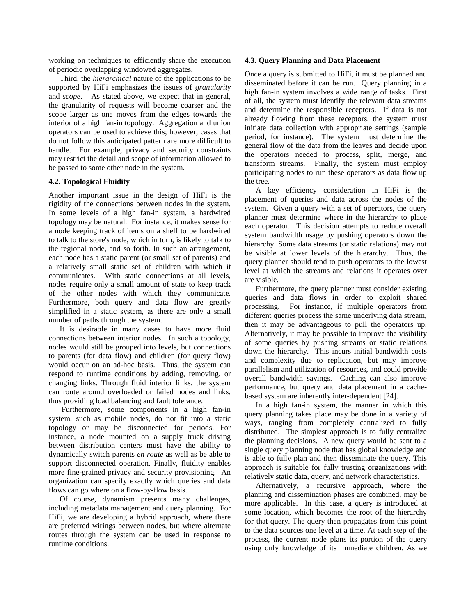working on techniques to efficiently share the execution of periodic overlapping windowed aggregates.

Third, the *hierarchical* nature of the applications to be supported by HiFi emphasizes the issues of *granularity* and *scope*. As stated above, we expect that in general, the granularity of requests will become coarser and the scope larger as one moves from the edges towards the interior of a high fan-in topology. Aggregation and union operators can be used to achieve this; however, cases that do not follow this anticipated pattern are more difficult to handle. For example, privacy and security constraints may restrict the detail and scope of information allowed to be passed to some other node in the system.

#### **4.2. Topological Fluidity**

Another important issue in the design of HiFi is the rigidity of the connections between nodes in the system. In some levels of a high fan-in system, a hardwired topology may be natural. For instance, it makes sense for a node keeping track of items on a shelf to be hardwired to talk to the store's node, which in turn, is likely to talk to the regional node, and so forth. In such an arrangement, each node has a static parent (or small set of parents) and a relatively small static set of children with which it communicates. With static connections at all levels, nodes require only a small amount of state to keep track of the other nodes with which they communicate. Furthermore, both query and data flow are greatly simplified in a static system, as there are only a small number of paths through the system.

It is desirable in many cases to have more fluid connections between interior nodes. In such a topology, nodes would still be grouped into levels, but connections to parents (for data flow) and children (for query flow) would occur on an ad-hoc basis. Thus, the system can respond to runtime conditions by adding, removing, or changing links. Through fluid interior links, the system can route around overloaded or failed nodes and links, thus providing load balancing and fault tolerance.

Furthermore, some components in a high fan-in system, such as mobile nodes, do not fit into a static topology or may be disconnected for periods. For instance, a node mounted on a supply truck driving between distribution centers must have the ability to dynamically switch parents *en route* as well as be able to support disconnected operation. Finally, fluidity enables more fine-grained privacy and security provisioning. An organization can specify exactly which queries and data flows can go where on a flow-by-flow basis.

Of course, dynamism presents many challenges, including metadata management and query planning. For HiFi, we are developing a hybrid approach, where there are preferred wirings between nodes, but where alternate routes through the system can be used in response to runtime conditions.

#### **4.3. Query Planning and Data Placement**

Once a query is submitted to HiFi, it must be planned and disseminated before it can be run. Query planning in a high fan-in system involves a wide range of tasks. First of all, the system must identify the relevant data streams and determine the responsible receptors. If data is not already flowing from these receptors, the system must initiate data collection with appropriate settings (sample period, for instance). The system must determine the general flow of the data from the leaves and decide upon the operators needed to process, split, merge, and transform streams. Finally, the system must employ participating nodes to run these operators as data flow up the tree.

A key efficiency consideration in HiFi is the placement of queries and data across the nodes of the system. Given a query with a set of operators, the query planner must determine where in the hierarchy to place each operator. This decision attempts to reduce overall system bandwidth usage by pushing operators down the hierarchy. Some data streams (or static relations) may not be visible at lower levels of the hierarchy. Thus, the query planner should tend to push operators to the lowest level at which the streams and relations it operates over are visible.

Furthermore, the query planner must consider existing queries and data flows in order to exploit shared processing. For instance, if multiple operators from different queries process the same underlying data stream, then it may be advantageous to pull the operators up. Alternatively, it may be possible to improve the visibility of some queries by pushing streams or static relations down the hierarchy. This incurs initial bandwidth costs and complexity due to replication, but may improve parallelism and utilization of resources, and could provide overall bandwidth savings. Caching can also improve performance, but query and data placement in a cachebased system are inherently inter-dependent [24].

In a high fan-in system, the manner in which this query planning takes place may be done in a variety of ways, ranging from completely centralized to fully distributed. The simplest approach is to fully centralize the planning decisions. A new query would be sent to a single query planning node that has global knowledge and is able to fully plan and then disseminate the query. This approach is suitable for fully trusting organizations with relatively static data, query, and network characteristics.

Alternatively, a recursive approach, where the planning and dissemination phases are combined, may be more applicable. In this case, a query is introduced at some location, which becomes the root of the hierarchy for that query. The query then propagates from this point to the data sources one level at a time. At each step of the process, the current node plans its portion of the query using only knowledge of its immediate children. As we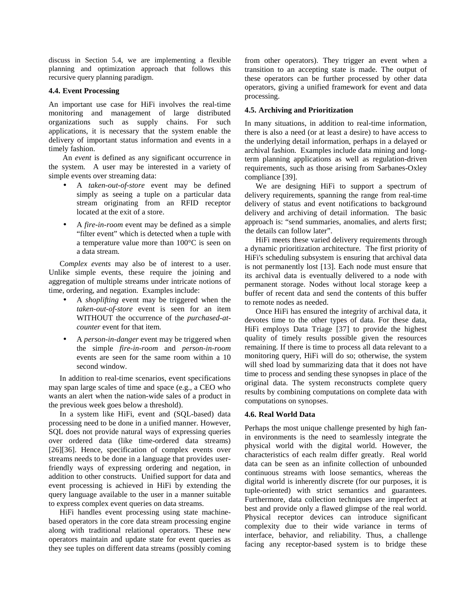discuss in Section 5.4, we are implementing a flexible planning and optimization approach that follows this recursive query planning paradigm.

#### **4.4. Event Processing**

An important use case for HiFi involves the real-time monitoring and management of large distributed organizations such as supply chains. For such applications, it is necessary that the system enable the delivery of important status information and events in a timely fashion.

An *event* is defined as any significant occurrence in the system. A user may be interested in a variety of simple events over streaming data:

- A *taken-out-of-store* event may be defined simply as seeing a tuple on a particular data stream originating from an RFID receptor located at the exit of a store.
- A *fire-in-room* event may be defined as a simple "filter event" which is detected when a tuple with a temperature value more than 100°C is seen on a data stream.

C*omplex events* may also be of interest to a user. Unlike simple events, these require the joining and aggregation of multiple streams under intricate notions of time, ordering, and negation. Examples include:

- A *shoplifting* event may be triggered when the *taken-out-of-store* event is seen for an item WITHOUT the occurrence of the *purchased-atcounter* event for that item.
- A *person-in-danger* event may be triggered when the simple *fire-in-room* and *person-in-room* events are seen for the same room within a 10 second window.

In addition to real-time scenarios, event specifications may span large scales of time and space (e.g., a CEO who wants an alert when the nation-wide sales of a product in the previous week goes below a threshold).

In a system like HiFi, event and (SQL-based) data processing need to be done in a unified manner. However, SQL does not provide natural ways of expressing queries over ordered data (like time-ordered data streams) [26][36]. Hence, specification of complex events over streams needs to be done in a language that provides userfriendly ways of expressing ordering and negation, in addition to other constructs. Unified support for data and event processing is achieved in HiFi by extending the query language available to the user in a manner suitable to express complex event queries on data streams.

HiFi handles event processing using state machinebased operators in the core data stream processing engine along with traditional relational operators. These new operators maintain and update state for event queries as they see tuples on different data streams (possibly coming from other operators). They trigger an event when a transition to an accepting state is made. The output of these operators can be further processed by other data operators, giving a unified framework for event and data processing.

# **4.5. Archiving and Prioritization**

In many situations, in addition to real-time information, there is also a need (or at least a desire) to have access to the underlying detail information, perhaps in a delayed or archival fashion. Examples include data mining and longterm planning applications as well as regulation-driven requirements, such as those arising from Sarbanes-Oxley compliance [39].

We are designing HiFi to support a spectrum of delivery requirements, spanning the range from real-time delivery of status and event notifications to background delivery and archiving of detail information. The basic approach is: "send summaries, anomalies, and alerts first; the details can follow later".

HiFi meets these varied delivery requirements through a dynamic prioritization architecture. The first priority of HiFi's scheduling subsystem is ensuring that archival data is not permanently lost [13]. Each node must ensure that its archival data is eventually delivered to a node with permanent storage. Nodes without local storage keep a buffer of recent data and send the contents of this buffer to remote nodes as needed.

Once HiFi has ensured the integrity of archival data, it devotes time to the other types of data. For these data, HiFi employs Data Triage [37] to provide the highest quality of timely results possible given the resources remaining. If there is time to process all data relevant to a monitoring query, HiFi will do so; otherwise, the system will shed load by summarizing data that it does not have time to process and sending these synopses in place of the original data. The system reconstructs complete query results by combining computations on complete data with computations on synopses.

## **4.6. Real World Data**

Perhaps the most unique challenge presented by high fanin environments is the need to seamlessly integrate the physical world with the digital world. However, the characteristics of each realm differ greatly. Real world data can be seen as an infinite collection of unbounded continuous streams with loose semantics, whereas the digital world is inherently discrete (for our purposes, it is tuple-oriented) with strict semantics and guarantees. Furthermore, data collection techniques are imperfect at best and provide only a flawed glimpse of the real world. Physical receptor devices can introduce significant complexity due to their wide variance in terms of interface, behavior, and reliability. Thus, a challenge facing any receptor-based system is to bridge these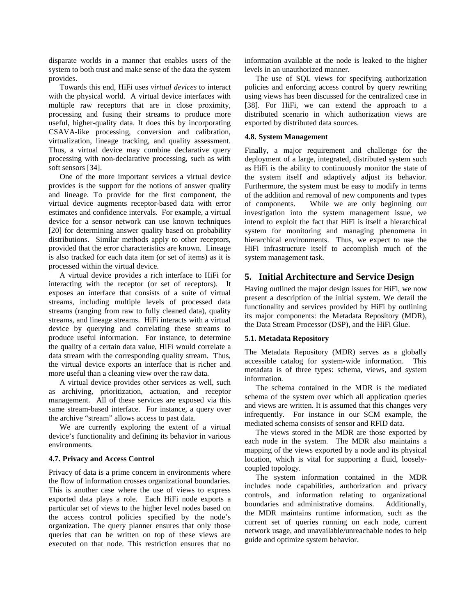disparate worlds in a manner that enables users of the system to both trust and make sense of the data the system provides.

Towards this end, HiFi uses *virtual devices* to interact with the physical world. A virtual device interfaces with multiple raw receptors that are in close proximity, processing and fusing their streams to produce more useful, higher-quality data. It does this by incorporating CSAVA-like processing, conversion and calibration, virtualization, lineage tracking, and quality assessment. Thus, a virtual device may combine declarative query processing with non-declarative processing, such as with soft sensors [34].

One of the more important services a virtual device provides is the support for the notions of answer quality and lineage. To provide for the first component, the virtual device augments receptor-based data with error estimates and confidence intervals. For example, a virtual device for a sensor network can use known techniques [20] for determining answer quality based on probability distributions. Similar methods apply to other receptors, provided that the error characteristics are known. Lineage is also tracked for each data item (or set of items) as it is processed within the virtual device.

A virtual device provides a rich interface to HiFi for interacting with the receptor (or set of receptors). It exposes an interface that consists of a suite of virtual streams, including multiple levels of processed data streams (ranging from raw to fully cleaned data), quality streams, and lineage streams. HiFi interacts with a virtual device by querying and correlating these streams to produce useful information. For instance, to determine the quality of a certain data value, HiFi would correlate a data stream with the corresponding quality stream. Thus, the virtual device exports an interface that is richer and more useful than a cleaning view over the raw data.

A virtual device provides other services as well, such as archiving, prioritization, actuation, and receptor management. All of these services are exposed via this same stream-based interface. For instance, a query over the archive "stream" allows access to past data.

We are currently exploring the extent of a virtual device's functionality and defining its behavior in various environments.

#### **4.7. Privacy and Access Control**

Privacy of data is a prime concern in environments where the flow of information crosses organizational boundaries. This is another case where the use of views to express exported data plays a role. Each HiFi node exports a particular set of views to the higher level nodes based on the access control policies specified by the node's organization. The query planner ensures that only those queries that can be written on top of these views are executed on that node. This restriction ensures that no information available at the node is leaked to the higher levels in an unauthorized manner.

The use of SQL views for specifying authorization policies and enforcing access control by query rewriting using views has been discussed for the centralized case in [38]. For HiFi, we can extend the approach to a distributed scenario in which authorization views are exported by distributed data sources.

#### **4.8. System Management**

Finally, a major requirement and challenge for the deployment of a large, integrated, distributed system such as HiFi is the ability to continuously monitor the state of the system itself and adaptively adjust its behavior. Furthermore, the system must be easy to modify in terms of the addition and removal of new components and types of components. While we are only beginning our investigation into the system management issue, we intend to exploit the fact that HiFi is itself a hierarchical system for monitoring and managing phenomena in hierarchical environments. Thus, we expect to use the HiFi infrastructure itself to accomplish much of the system management task.

## **5. Initial Architecture and Service Design**

Having outlined the major design issues for HiFi, we now present a description of the initial system. We detail the functionality and services provided by HiFi by outlining its major components: the Metadata Repository (MDR), the Data Stream Processor (DSP), and the HiFi Glue.

#### **5.1. Metadata Repository**

The Metadata Repository (MDR) serves as a globally accessible catalog for system-wide information. This metadata is of three types: schema, views, and system information.

The schema contained in the MDR is the mediated schema of the system over which all application queries and views are written. It is assumed that this changes very infrequently. For instance in our SCM example, the mediated schema consists of sensor and RFID data.

The views stored in the MDR are those exported by each node in the system. The MDR also maintains a mapping of the views exported by a node and its physical location, which is vital for supporting a fluid, looselycoupled topology.

The system information contained in the MDR includes node capabilities, authorization and privacy controls, and information relating to organizational boundaries and administrative domains. Additionally, the MDR maintains runtime information, such as the current set of queries running on each node, current network usage, and unavailable/unreachable nodes to help guide and optimize system behavior.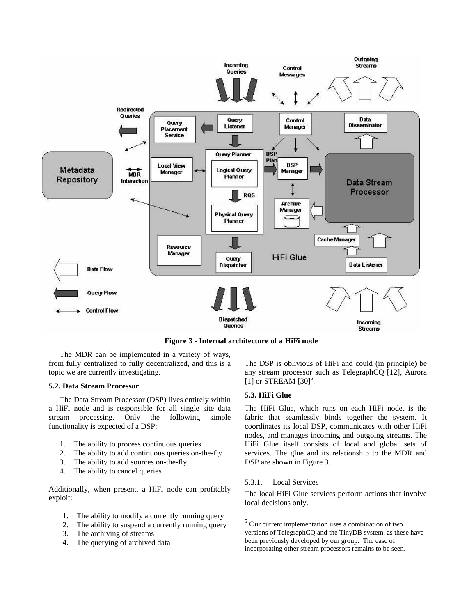

**Figure 3 - Internal architecture of a HiFi node**

The MDR can be implemented in a variety of ways, from fully centralized to fully decentralized, and this is a topic we are currently investigating.

#### **5.2. Data Stream Processor**

The Data Stream Processor (DSP) lives entirely within a HiFi node and is responsible for all single site data stream processing. Only the following simple functionality is expected of a DSP:

- 1. The ability to process continuous queries
- 2. The ability to add continuous queries on-the-fly
- 3. The ability to add sources on-the-fly
- 4. The ability to cancel queries

Additionally, when present, a HiFi node can profitably exploit:

- 1. The ability to modify a currently running query
- 2. The ability to suspend a currently running query
- 3. The archiving of streams
- 4. The querying of archived data

The DSP is oblivious of HiFi and could (in principle) be any stream processor such as TelegraphCQ [12], Aurora [1] or STREAM  $[30]$ <sup>5</sup>.

# **5.3. HiFi Glue**

The HiFi Glue, which runs on each HiFi node, is the fabric that seamlessly binds together the system. It coordinates its local DSP, communicates with other HiFi nodes, and manages incoming and outgoing streams. The HiFi Glue itself consists of local and global sets of services. The glue and its relationship to the MDR and DSP are shown in Figure 3.

## 5.3.1. Local Services

The local HiFi Glue services perform actions that involve local decisions only.

<sup>5</sup> Our current implementation uses a combination of two versions of TelegraphCQ and the TinyDB system, as these have been previously developed by our group. The ease of incorporating other stream processors remains to be seen.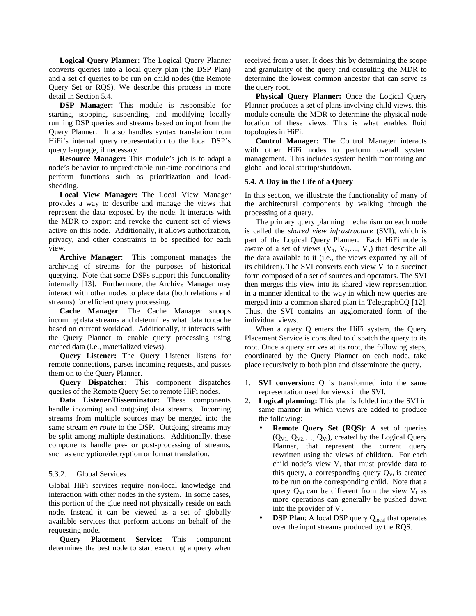**Logical Query Planner:** The Logical Query Planner converts queries into a local query plan (the DSP Plan) and a set of queries to be run on child nodes (the Remote Query Set or RQS). We describe this process in more detail in Section 5.4.

**DSP Manager:** This module is responsible for starting, stopping, suspending, and modifying locally running DSP queries and streams based on input from the Query Planner. It also handles syntax translation from HiFi's internal query representation to the local DSP's query language, if necessary.

**Resource Manager:** This module's job is to adapt a node's behavior to unpredictable run-time conditions and perform functions such as prioritization and loadshedding.

**Local View Manager:** The Local View Manager provides a way to describe and manage the views that represent the data exposed by the node. It interacts with the MDR to export and revoke the current set of views active on this node. Additionally, it allows authorization, privacy, and other constraints to be specified for each view.

**Archive Manager**: This component manages the archiving of streams for the purposes of historical querying. Note that some DSPs support this functionality internally [13]. Furthermore, the Archive Manager may interact with other nodes to place data (both relations and streams) for efficient query processing.

**Cache Manager**: The Cache Manager snoops incoming data streams and determines what data to cache based on current workload. Additionally, it interacts with the Query Planner to enable query processing using cached data (i.e., materialized views).

**Query Listener:** The Query Listener listens for remote connections, parses incoming requests, and passes them on to the Query Planner.

**Query Dispatcher:** This component dispatches queries of the Remote Query Set to remote HiFi nodes.

**Data Listener/Disseminator:** These components handle incoming and outgoing data streams. Incoming streams from multiple sources may be merged into the same stream *en route* to the DSP. Outgoing streams may be split among multiple destinations. Additionally, these components handle pre- or post-processing of streams, such as encryption/decryption or format translation.

#### 5.3.2. Global Services

Global HiFi services require non-local knowledge and interaction with other nodes in the system. In some cases, this portion of the glue need not physically reside on each node. Instead it can be viewed as a set of globally available services that perform actions on behalf of the requesting node.

**Query Placement Service:** This component determines the best node to start executing a query when received from a user. It does this by determining the scope and granularity of the query and consulting the MDR to determine the lowest common ancestor that can serve as the query root.

**Physical Query Planner:** Once the Logical Query Planner produces a set of plans involving child views, this module consults the MDR to determine the physical node location of these views. This is what enables fluid topologies in HiFi.

**Control Manager:** The Control Manager interacts with other HiFi nodes to perform overall system management. This includes system health monitoring and global and local startup/shutdown.

#### **5.4. A Day in the Life of a Query**

In this section, we illustrate the functionality of many of the architectural components by walking through the processing of a query.

The primary query planning mechanism on each node is called the *shared view infrastructure* (SVI), which is part of the Logical Query Planner. Each HiFi node is aware of a set of views  $(V_1, V_2,..., V_n)$  that describe all the data available to it (i.e., the views exported by all of its children). The SVI converts each view  $V_i$  to a succinct form composed of a set of sources and operators. The SVI then merges this view into its shared view representation in a manner identical to the way in which new queries are merged into a common shared plan in TelegraphCQ [12]. Thus, the SVI contains an agglomerated form of the individual views.

When a query Q enters the HiFi system, the Query Placement Service is consulted to dispatch the query to its root. Once a query arrives at its root, the following steps, coordinated by the Query Planner on each node, take place recursively to both plan and disseminate the query.

- 1. **SVI conversion:** Q is transformed into the same representation used for views in the SVI.
- 2. **Logical planning:** This plan is folded into the SVI in same manner in which views are added to produce the following:
	- **Remote Query Set (RQS)**: A set of queries  $(Q_{V1}, Q_{V2},..., Q_{Vi})$ , created by the Logical Query Planner, that represent the current query rewritten using the views of children. For each child node's view  $V_i$  that must provide data to this query, a corresponding query  $Q_{Vi}$  is created to be run on the corresponding child. Note that a query  $Q_{Vi}$  can be different from the view  $V_i$  as more operations can generally be pushed down into the provider of  $V_i$ .
	- **DSP Plan**: A local DSP query Q<sub>local</sub> that operates over the input streams produced by the RQS.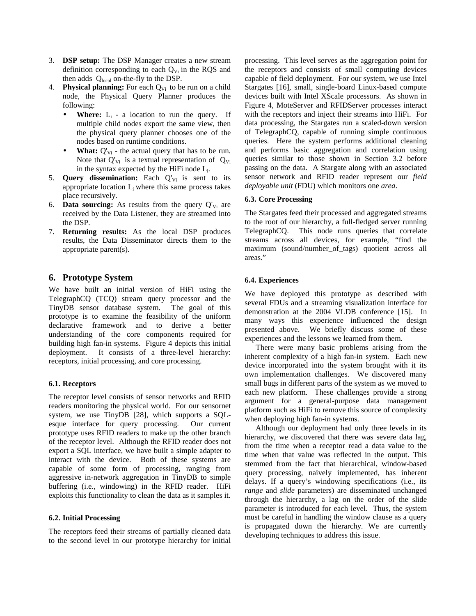- 3. **DSP setup:** The DSP Manager creates a new stream definition corresponding to each  $Q_{Vi}$  in the RQS and then adds  $Q_{local}$  on-the-fly to the DSP.
- 4. Physical planning: For each Q<sub>Vi</sub> to be run on a child node, the Physical Query Planner produces the following:
	- **Where:**  $L_i$  a location to run the query. If multiple child nodes export the same view, then the physical query planner chooses one of the nodes based on runtime conditions.
	- **What:**  $Q'_{Vi}$  the actual query that has to be run. Note that  $Q'_{Vi}$  is a textual representation of  $Q_{Vi}$ in the syntax expected by the HiFi node  $L_i$ .
- 5. **Query dissemination:** Each Q'<sub>Vi</sub> is sent to its appropriate location  $L_i$  where this same process takes place recursively.
- 6. **Data sourcing:** As results from the query  $Q'_{Vi}$  are received by the Data Listener, they are streamed into the DSP.
- 7. **Returning results:** As the local DSP produces results, the Data Disseminator directs them to the appropriate parent(s).

# **6. Prototype System**

We have built an initial version of HiFi using the TelegraphCQ (TCQ) stream query processor and the TinyDB sensor database system. The goal of this prototype is to examine the feasibility of the uniform declarative framework and to derive a better understanding of the core components required for building high fan-in systems. Figure 4 depicts this initial deployment. It consists of a three-level hierarchy: receptors, initial processing, and core processing.

# **6.1. Receptors**

The receptor level consists of sensor networks and RFID readers monitoring the physical world. For our sensornet system, we use TinyDB [28], which supports a SQLesque interface for query processing. Our current prototype uses RFID readers to make up the other branch of the receptor level. Although the RFID reader does not export a SQL interface, we have built a simple adapter to interact with the device. Both of these systems are capable of some form of processing, ranging from aggressive in-network aggregation in TinyDB to simple buffering (i.e., windowing) in the RFID reader. HiFi exploits this functionality to clean the data as it samples it.

## **6.2. Initial Processing**

The receptors feed their streams of partially cleaned data to the second level in our prototype hierarchy for initial processing. This level serves as the aggregation point for the receptors and consists of small computing devices capable of field deployment. For our system, we use Intel Stargates [16], small, single-board Linux-based compute devices built with Intel XScale processors. As shown in Figure 4, MoteServer and RFIDServer processes interact with the receptors and inject their streams into HiFi. For data processing, the Stargates run a scaled-down version of TelegraphCQ, capable of running simple continuous queries. Here the system performs additional cleaning and performs basic aggregation and correlation using queries similar to those shown in Section 3.2 before passing on the data. A Stargate along with an associated sensor network and RFID reader represent our *field deployable unit* (FDU) which monitors one *area*.

## **6.3. Core Processing**

The Stargates feed their processed and aggregated streams to the root of our hierarchy, a full-fledged server running TelegraphCQ. This node runs queries that correlate streams across all devices, for example, "find the maximum (sound/number\_of\_tags) quotient across all areas."

## **6.4. Experiences**

We have deployed this prototype as described with several FDUs and a streaming visualization interface for demonstration at the 2004 VLDB conference [15]. In many ways this experience influenced the design presented above. We briefly discuss some of these experiences and the lessons we learned from them.

There were many basic problems arising from the inherent complexity of a high fan-in system. Each new device incorporated into the system brought with it its own implementation challenges. We discovered many small bugs in different parts of the system as we moved to each new platform. These challenges provide a strong argument for a general-purpose data management platform such as HiFi to remove this source of complexity when deploying high fan-in systems.

Although our deployment had only three levels in its hierarchy, we discovered that there was severe data lag, from the time when a receptor read a data value to the time when that value was reflected in the output. This stemmed from the fact that hierarchical, window-based query processing, naively implemented, has inherent delays. If a query's windowing specifications (i.e., its *range* and *slide* parameters) are disseminated unchanged through the hierarchy, a lag on the order of the slide parameter is introduced for each level. Thus, the system must be careful in handling the window clause as a query is propagated down the hierarchy. We are currently developing techniques to address this issue.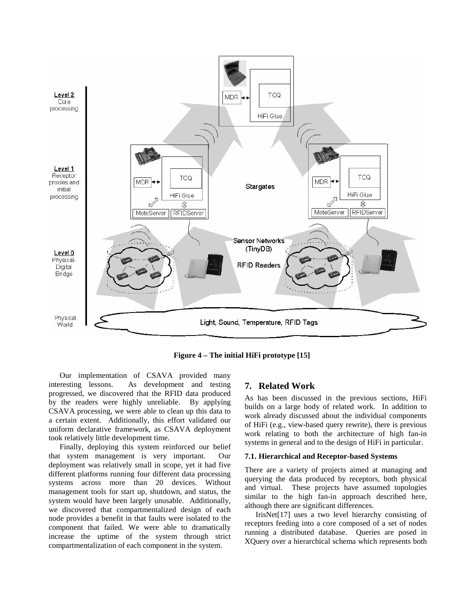

**Figure 4 – The initial HiFi prototype [15]**

Our implementation of CSAVA provided many interesting lessons. As development and testing progressed, we discovered that the RFID data produced by the readers were highly unreliable. By applying CSAVA processing, we were able to clean up this data to a certain extent. Additionally, this effort validated our uniform declarative framework, as CSAVA deployment took relatively little development time.

Finally, deploying this system reinforced our belief that system management is very important. Our deployment was relatively small in scope, yet it had five different platforms running four different data processing systems across more than 20 devices. Without management tools for start up, shutdown, and status, the system would have been largely unusable. Additionally, we discovered that compartmentalized design of each node provides a benefit in that faults were isolated to the component that failed. We were able to dramatically increase the uptime of the system through strict compartmentalization of each component in the system.

# **7. Related Work**

As has been discussed in the previous sections, HiFi builds on a large body of related work. In addition to work already discussed about the individual components of HiFi (e.g., view-based query rewrite), there is previous work relating to both the architecture of high fan-in systems in general and to the design of HiFi in particular.

#### **7.1. Hierarchical and Receptor-based Systems**

There are a variety of projects aimed at managing and querying the data produced by receptors, both physical and virtual. These projects have assumed topologies similar to the high fan-in approach described here, although there are significant differences.

IrisNet[17] uses a two level hierarchy consisting of receptors feeding into a core composed of a set of nodes running a distributed database. Queries are posed in XQuery over a hierarchical schema which represents both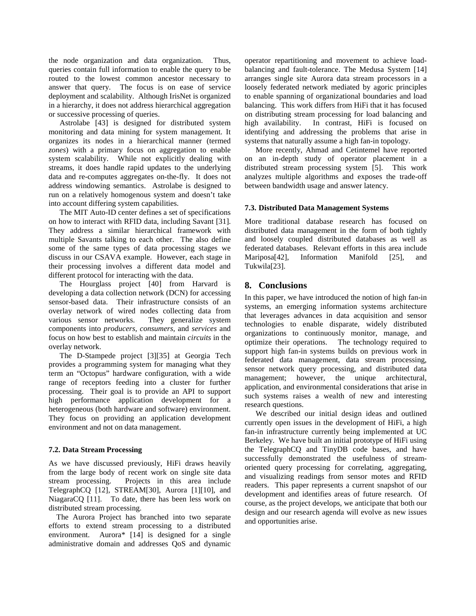the node organization and data organization. Thus, queries contain full information to enable the query to be routed to the lowest common ancestor necessary to answer that query. The focus is on ease of service deployment and scalability. Although IrisNet is organized in a hierarchy, it does not address hierarchical aggregation or successive processing of queries.

Astrolabe [43] is designed for distributed system monitoring and data mining for system management. It organizes its nodes in a hierarchical manner (termed *zones*) with a primary focus on aggregation to enable system scalability. While not explicitly dealing with streams, it does handle rapid updates to the underlying data and re-computes aggregates on-the-fly. It does not address windowing semantics. Astrolabe is designed to run on a relatively homogenous system and doesn't take into account differing system capabilities.

The MIT Auto-ID center defines a set of specifications on how to interact with RFID data, including Savant [31]. They address a similar hierarchical framework with multiple Savants talking to each other. The also define some of the same types of data processing stages we discuss in our CSAVA example. However, each stage in their processing involves a different data model and different protocol for interacting with the data.

The Hourglass project [40] from Harvard is developing a data collection network (DCN) for accessing sensor-based data. Their infrastructure consists of an overlay network of wired nodes collecting data from various sensor networks. They generalize system components into *producers, consumers,* and *services* and focus on how best to establish and maintain *circuits* in the overlay network.

The D-Stampede project [3][35] at Georgia Tech provides a programming system for managing what they term an "Octopus" hardware configuration, with a wide range of receptors feeding into a cluster for further processing. Their goal is to provide an API to support high performance application development for a heterogeneous (both hardware and software) environment. They focus on providing an application development environment and not on data management.

## **7.2. Data Stream Processing**

As we have discussed previously, HiFi draws heavily from the large body of recent work on single site data stream processing. Projects in this area include TelegraphCQ [12], STREAM[30], Aurora [1][10], and NiagaraCQ [11]. To date, there has been less work on distributed stream processing.

The Aurora Project has branched into two separate efforts to extend stream processing to a distributed environment. Aurora\* [14] is designed for a single administrative domain and addresses QoS and dynamic

operator repartitioning and movement to achieve loadbalancing and fault-tolerance. The Medusa System [14] arranges single site Aurora data stream processors in a loosely federated network mediated by agoric principles to enable spanning of organizational boundaries and load balancing. This work differs from HiFi that it has focused on distributing stream processing for load balancing and high availability. In contrast, HiFi is focused on identifying and addressing the problems that arise in systems that naturally assume a high fan-in topology.

More recently, Ahmad and Cetintemel have reported on an in-depth study of operator placement in a distributed stream processing system [5]. This work analyzes multiple algorithms and exposes the trade-off between bandwidth usage and answer latency.

## **7.3. Distributed Data Management Systems**

More traditional database research has focused on distributed data management in the form of both tightly and loosely coupled distributed databases as well as federated databases. Relevant efforts in this area include Mariposa[42], Information Manifold [25], and Tukwila[23].

# **8. Conclusions**

In this paper, we have introduced the notion of high fan-in systems, an emerging information systems architecture that leverages advances in data acquisition and sensor technologies to enable disparate, widely distributed organizations to continuously monitor, manage, and optimize their operations. The technology required to support high fan-in systems builds on previous work in federated data management, data stream processing, sensor network query processing, and distributed data management; however, the unique architectural, application, and environmental considerations that arise in such systems raises a wealth of new and interesting research questions.

We described our initial design ideas and outlined currently open issues in the development of HiFi, a high fan-in infrastructure currently being implemented at UC Berkeley. We have built an initial prototype of HiFi using the TelegraphCQ and TinyDB code bases, and have successfully demonstrated the usefulness of streamoriented query processing for correlating, aggregating, and visualizing readings from sensor motes and RFID readers. This paper represents a current snapshot of our development and identifies areas of future research. Of course, as the project develops, we anticipate that both our design and our research agenda will evolve as new issues and opportunities arise.